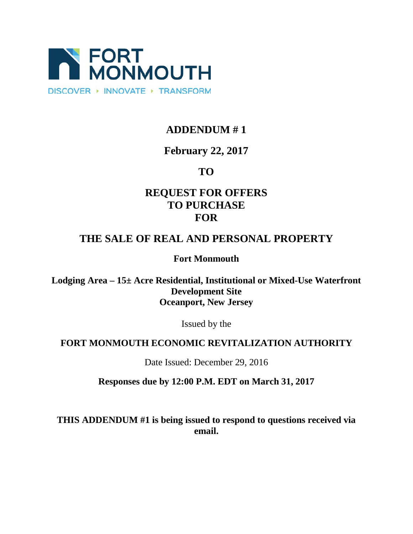

# **ADDENDUM # 1**

## **February 22, 2017**

## **TO**

# **REQUEST FOR OFFERS TO PURCHASE FOR**

# **THE SALE OF REAL AND PERSONAL PROPERTY**

**Fort Monmouth**

**Lodging Area – 15± Acre Residential, Institutional or Mixed-Use Waterfront Development Site Oceanport, New Jersey**

Issued by the

#### **FORT MONMOUTH ECONOMIC REVITALIZATION AUTHORITY**

Date Issued: December 29, 2016

**Responses due by 12:00 P.M. EDT on March 31, 2017**

**THIS ADDENDUM #1 is being issued to respond to questions received via email.**